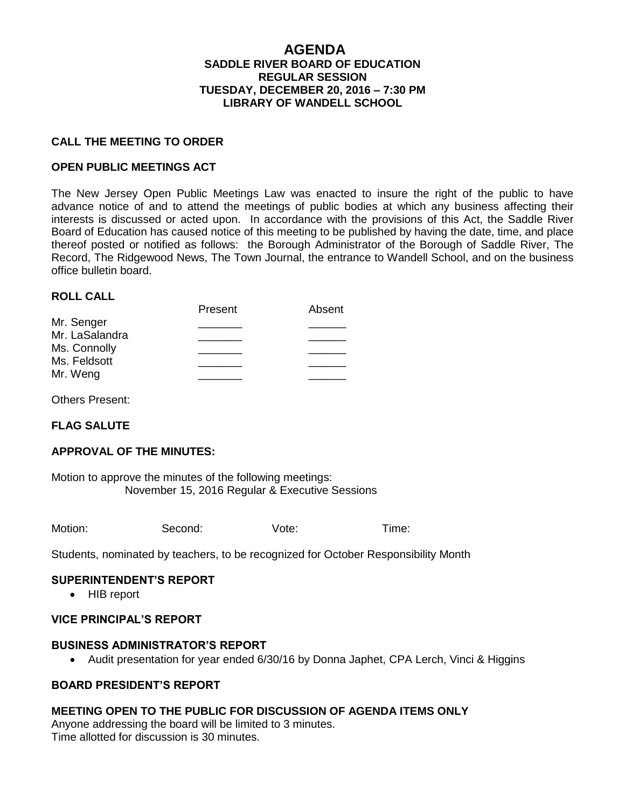### **AGENDA SADDLE RIVER BOARD OF EDUCATION REGULAR SESSION TUESDAY, DECEMBER 20, 2016 – 7:30 PM LIBRARY OF WANDELL SCHOOL**

#### **CALL THE MEETING TO ORDER**

#### **OPEN PUBLIC MEETINGS ACT**

The New Jersey Open Public Meetings Law was enacted to insure the right of the public to have advance notice of and to attend the meetings of public bodies at which any business affecting their interests is discussed or acted upon. In accordance with the provisions of this Act, the Saddle River Board of Education has caused notice of this meeting to be published by having the date, time, and place thereof posted or notified as follows: the Borough Administrator of the Borough of Saddle River, The Record, The Ridgewood News, The Town Journal, the entrance to Wandell School, and on the business office bulletin board.

#### **ROLL CALL**

| .              |         |        |
|----------------|---------|--------|
|                | Present | Absent |
| Mr. Senger     |         |        |
| Mr. LaSalandra |         |        |
| Ms. Connolly   |         |        |
| Ms. Feldsott   |         |        |
| Mr. Weng       |         |        |

Others Present:

## **FLAG SALUTE**

### **APPROVAL OF THE MINUTES:**

Motion to approve the minutes of the following meetings: November 15, 2016 Regular & Executive Sessions

| Motion: | Second: | Vote: | l ime: |
|---------|---------|-------|--------|
|         |         |       |        |

Students, nominated by teachers, to be recognized for October Responsibility Month

#### **SUPERINTENDENT'S REPORT**

• HIB report

#### **VICE PRINCIPAL'S REPORT**

#### **BUSINESS ADMINISTRATOR'S REPORT**

Audit presentation for year ended 6/30/16 by Donna Japhet, CPA Lerch, Vinci & Higgins

## **BOARD PRESIDENT'S REPORT**

#### **MEETING OPEN TO THE PUBLIC FOR DISCUSSION OF AGENDA ITEMS ONLY**

Anyone addressing the board will be limited to 3 minutes. Time allotted for discussion is 30 minutes.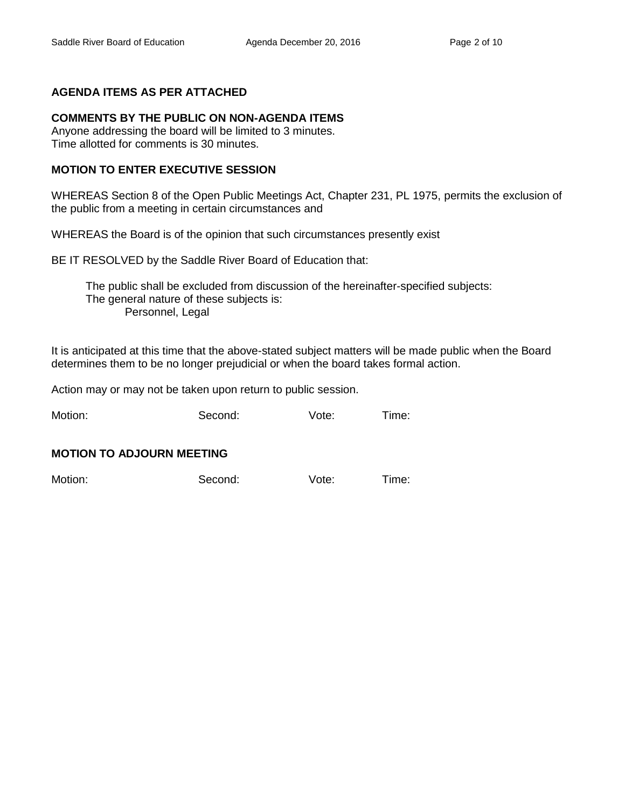## **AGENDA ITEMS AS PER ATTACHED**

# **COMMENTS BY THE PUBLIC ON NON-AGENDA ITEMS**

Anyone addressing the board will be limited to 3 minutes. Time allotted for comments is 30 minutes.

# **MOTION TO ENTER EXECUTIVE SESSION**

WHEREAS Section 8 of the Open Public Meetings Act, Chapter 231, PL 1975, permits the exclusion of the public from a meeting in certain circumstances and

WHEREAS the Board is of the opinion that such circumstances presently exist

BE IT RESOLVED by the Saddle River Board of Education that:

 The public shall be excluded from discussion of the hereinafter-specified subjects: The general nature of these subjects is: Personnel, Legal

It is anticipated at this time that the above-stated subject matters will be made public when the Board determines them to be no longer prejudicial or when the board takes formal action.

Action may or may not be taken upon return to public session.

Motion: Second: Vote: Time:

## **MOTION TO ADJOURN MEETING**

Motion: Second: Vote: Time: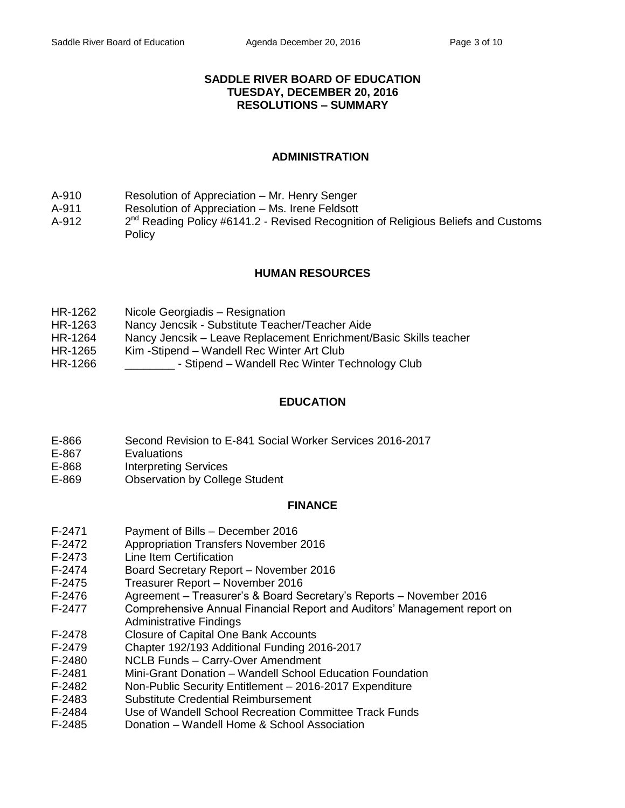## **SADDLE RIVER BOARD OF EDUCATION TUESDAY, DECEMBER 20, 2016 RESOLUTIONS – SUMMARY**

## **ADMINISTRATION**

- A-910 Resolution of Appreciation Mr. Henry Senger
- A-911 Resolution of Appreciation Ms. Irene Feldsott
- $A-912$  $2^{nd}$  Reading Policy #6141.2 - Revised Recognition of Religious Beliefs and Customs **Policy**

## **HUMAN RESOURCES**

- HR-1262 Nicole Georgiadis Resignation
- HR-1263 Nancy Jencsik Substitute Teacher/Teacher Aide
- HR-1264 Nancy Jencsik Leave Replacement Enrichment/Basic Skills teacher
- HR-1265 Kim -Stipend Wandell Rec Winter Art Club
- HR-1266 Stipend Wandell Rec Winter Technology Club

## **EDUCATION**

- E-866 Second Revision to E-841 Social Worker Services 2016-2017
- E-867 Evaluations
- E-868 Interpreting Services
- E-869 Observation by College Student

## **FINANCE**

- F-2471 Payment of Bills December 2016
- F-2472 Appropriation Transfers November 2016
- F-2473 Line Item Certification
- F-2474 Board Secretary Report November 2016
- F-2475 Treasurer Report November 2016
- F-2476 Agreement Treasurer's & Board Secretary's Reports November 2016
- F-2477 Comprehensive Annual Financial Report and Auditors' Management report on Administrative Findings
- F-2478 Closure of Capital One Bank Accounts
- F-2479 Chapter 192/193 Additional Funding 2016-2017
- F-2480 NCLB Funds Carry-Over Amendment
- F-2481 Mini-Grant Donation Wandell School Education Foundation
- F-2482 Non-Public Security Entitlement 2016-2017 Expenditure
- F-2483 Substitute Credential Reimbursement
- F-2484 Use of Wandell School Recreation Committee Track Funds
- F-2485 Donation Wandell Home & School Association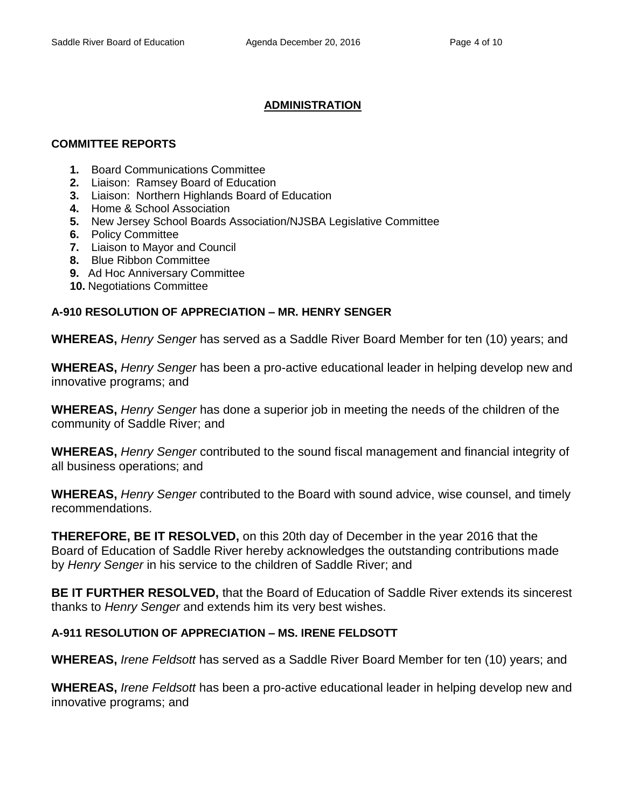# **ADMINISTRATION**

# **COMMITTEE REPORTS**

- **1.** Board Communications Committee
- **2.** Liaison: Ramsey Board of Education
- **3.** Liaison: Northern Highlands Board of Education
- **4.** Home & School Association
- **5.** New Jersey School Boards Association/NJSBA Legislative Committee
- **6.** Policy Committee
- **7.** Liaison to Mayor and Council
- **8.** Blue Ribbon Committee
- **9.** Ad Hoc Anniversary Committee
- **10.** Negotiations Committee

# **A-910 RESOLUTION OF APPRECIATION – MR. HENRY SENGER**

**WHEREAS,** *Henry Senger* has served as a Saddle River Board Member for ten (10) years; and

**WHEREAS,** *Henry Senger* has been a pro-active educational leader in helping develop new and innovative programs; and

**WHEREAS,** *Henry Senger* has done a superior job in meeting the needs of the children of the community of Saddle River; and

**WHEREAS,** *Henry Senger* contributed to the sound fiscal management and financial integrity of all business operations; and

**WHEREAS,** *Henry Senger* contributed to the Board with sound advice, wise counsel, and timely recommendations.

**THEREFORE, BE IT RESOLVED,** on this 20th day of December in the year 2016 that the Board of Education of Saddle River hereby acknowledges the outstanding contributions made by *Henry Senger* in his service to the children of Saddle River; and

**BE IT FURTHER RESOLVED,** that the Board of Education of Saddle River extends its sincerest thanks to *Henry Senger* and extends him its very best wishes.

# **A-911 RESOLUTION OF APPRECIATION – MS. IRENE FELDSOTT**

**WHEREAS,** *Irene Feldsott* has served as a Saddle River Board Member for ten (10) years; and

**WHEREAS,** *Irene Feldsott* has been a pro-active educational leader in helping develop new and innovative programs; and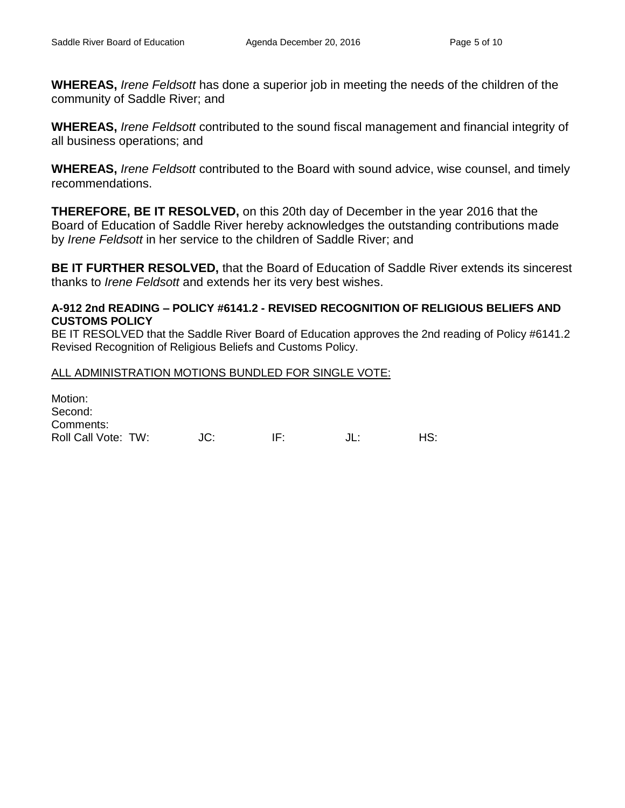**WHEREAS,** *Irene Feldsott* has done a superior job in meeting the needs of the children of the community of Saddle River; and

**WHEREAS,** *Irene Feldsott* contributed to the sound fiscal management and financial integrity of all business operations; and

**WHEREAS,** *Irene Feldsott* contributed to the Board with sound advice, wise counsel, and timely recommendations.

**THEREFORE, BE IT RESOLVED,** on this 20th day of December in the year 2016 that the Board of Education of Saddle River hereby acknowledges the outstanding contributions made by *Irene Feldsott* in her service to the children of Saddle River; and

**BE IT FURTHER RESOLVED,** that the Board of Education of Saddle River extends its sincerest thanks to *Irene Feldsott* and extends her its very best wishes.

## **A-912 2nd READING – POLICY #6141.2 - REVISED RECOGNITION OF RELIGIOUS BELIEFS AND CUSTOMS POLICY**

BE IT RESOLVED that the Saddle River Board of Education approves the 2nd reading of Policy #6141.2 Revised Recognition of Religious Beliefs and Customs Policy.

## ALL ADMINISTRATION MOTIONS BUNDLED FOR SINGLE VOTE:

Motion: Second: Comments: Roll Call Vote: TW:  $JC:$  IF:  $JL:$  HS: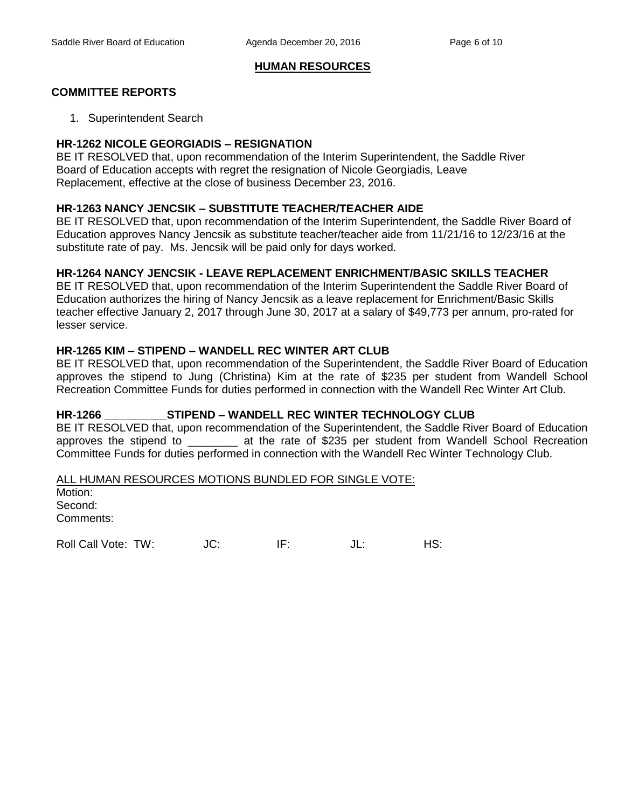#### **HUMAN RESOURCES**

## **COMMITTEE REPORTS**

1. Superintendent Search

#### **HR-1262 NICOLE GEORGIADIS – RESIGNATION**

BE IT RESOLVED that, upon recommendation of the Interim Superintendent, the Saddle River Board of Education accepts with regret the resignation of Nicole Georgiadis, Leave Replacement, effective at the close of business December 23, 2016.

### **HR-1263 NANCY JENCSIK – SUBSTITUTE TEACHER/TEACHER AIDE**

BE IT RESOLVED that, upon recommendation of the Interim Superintendent, the Saddle River Board of Education approves Nancy Jencsik as substitute teacher/teacher aide from 11/21/16 to 12/23/16 at the substitute rate of pay. Ms. Jencsik will be paid only for days worked.

### **HR-1264 NANCY JENCSIK - LEAVE REPLACEMENT ENRICHMENT/BASIC SKILLS TEACHER**

BE IT RESOLVED that, upon recommendation of the Interim Superintendent the Saddle River Board of Education authorizes the hiring of Nancy Jencsik as a leave replacement for Enrichment/Basic Skills teacher effective January 2, 2017 through June 30, 2017 at a salary of \$49,773 per annum, pro-rated for lesser service.

### **HR-1265 KIM – STIPEND – WANDELL REC WINTER ART CLUB**

BE IT RESOLVED that, upon recommendation of the Superintendent, the Saddle River Board of Education approves the stipend to Jung (Christina) Kim at the rate of \$235 per student from Wandell School Recreation Committee Funds for duties performed in connection with the Wandell Rec Winter Art Club.

## **HR-1266 \_\_\_\_\_\_\_\_\_\_STIPEND – WANDELL REC WINTER TECHNOLOGY CLUB**

BE IT RESOLVED that, upon recommendation of the Superintendent, the Saddle River Board of Education approves the stipend to \_\_\_\_\_\_\_\_ at the rate of \$235 per student from Wandell School Recreation Committee Funds for duties performed in connection with the Wandell Rec Winter Technology Club.

ALL HUMAN RESOURCES MOTIONS BUNDLED FOR SINGLE VOTE:

Motion: Second: Comments:

Roll Call Vote: TW:  $JC$ : IF:  $JL$ : HS: HS: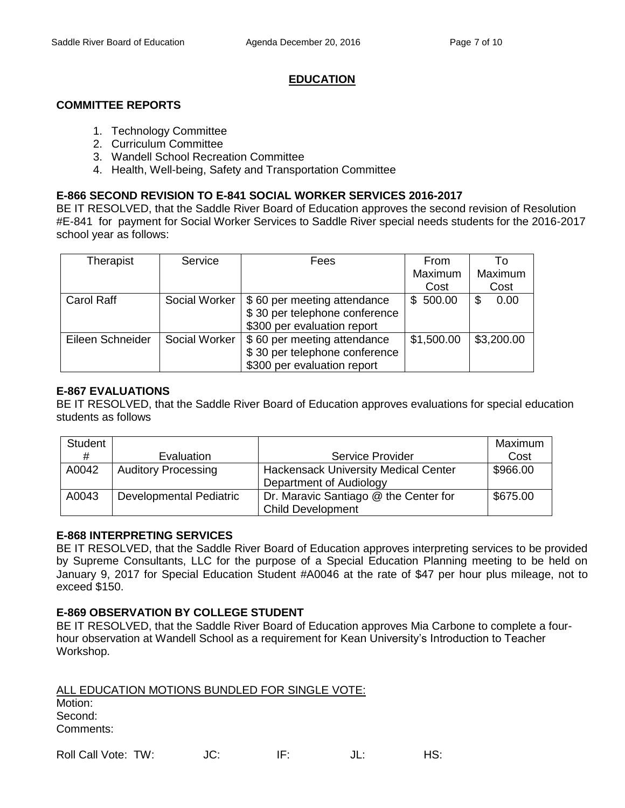### **EDUCATION**

### **COMMITTEE REPORTS**

- 1. Technology Committee
- 2. Curriculum Committee
- 3. Wandell School Recreation Committee
- 4. Health, Well-being, Safety and Transportation Committee

## **E-866 SECOND REVISION TO E-841 SOCIAL WORKER SERVICES 2016-2017**

BE IT RESOLVED, that the Saddle River Board of Education approves the second revision of Resolution #E-841 for payment for Social Worker Services to Saddle River special needs students for the 2016-2017 school year as follows:

| Therapist        | Service       | Fees                          | From       | Τo         |
|------------------|---------------|-------------------------------|------------|------------|
|                  |               |                               | Maximum    | Maximum    |
|                  |               |                               | Cost       | Cost       |
| Carol Raff       | Social Worker | \$60 per meeting attendance   | \$500.00   | 0.00<br>\$ |
|                  |               | \$30 per telephone conference |            |            |
|                  |               | \$300 per evaluation report   |            |            |
| Eileen Schneider | Social Worker | \$60 per meeting attendance   | \$1,500.00 | \$3,200.00 |
|                  |               | \$30 per telephone conference |            |            |
|                  |               | \$300 per evaluation report   |            |            |

## **E-867 EVALUATIONS**

BE IT RESOLVED, that the Saddle River Board of Education approves evaluations for special education students as follows

| Student |                                |                                             | Maximum  |
|---------|--------------------------------|---------------------------------------------|----------|
| #       | Evaluation                     | Service Provider                            | Cost     |
| A0042   | <b>Auditory Processing</b>     | <b>Hackensack University Medical Center</b> | \$966.00 |
|         |                                | Department of Audiology                     |          |
| A0043   | <b>Developmental Pediatric</b> | Dr. Maravic Santiago @ the Center for       | \$675.00 |
|         |                                | <b>Child Development</b>                    |          |

## **E-868 INTERPRETING SERVICES**

BE IT RESOLVED, that the Saddle River Board of Education approves interpreting services to be provided by Supreme Consultants, LLC for the purpose of a Special Education Planning meeting to be held on January 9, 2017 for Special Education Student #A0046 at the rate of \$47 per hour plus mileage, not to exceed \$150.

#### **E-869 OBSERVATION BY COLLEGE STUDENT**

BE IT RESOLVED, that the Saddle River Board of Education approves Mia Carbone to complete a fourhour observation at Wandell School as a requirement for Kean University's Introduction to Teacher Workshop.

| ALL EDUCATION MOTIONS BUNDLED FOR SINGLE VOTE: |     |     |        |     |
|------------------------------------------------|-----|-----|--------|-----|
| Motion:                                        |     |     |        |     |
| Second:                                        |     |     |        |     |
| Comments:                                      |     |     |        |     |
| Roll Call Vote: TW:                            | JC. | IF. | . II ÷ | HS: |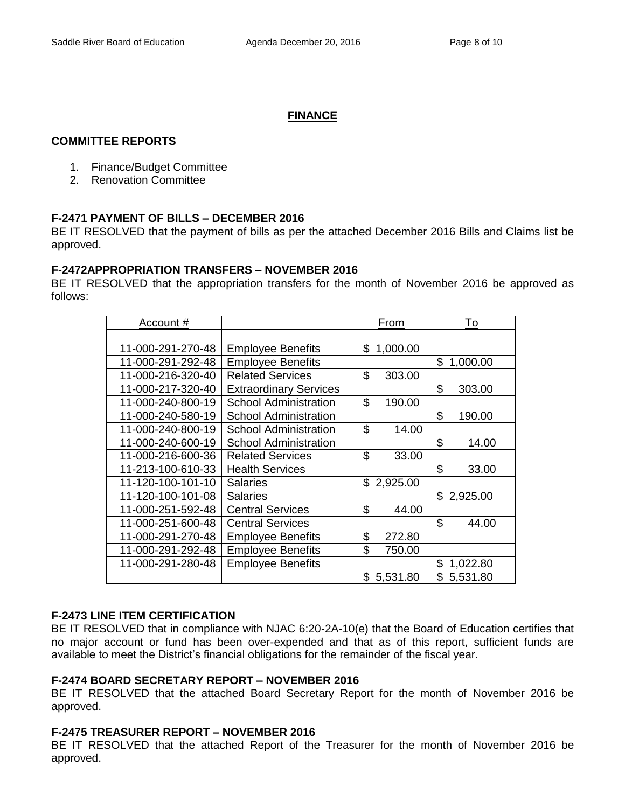## **FINANCE**

### **COMMITTEE REPORTS**

- 1. Finance/Budget Committee
- 2. Renovation Committee

## **F-2471 PAYMENT OF BILLS – DECEMBER 2016**

BE IT RESOLVED that the payment of bills as per the attached December 2016 Bills and Claims list be approved.

### **F-2472APPROPRIATION TRANSFERS – NOVEMBER 2016**

BE IT RESOLVED that the appropriation transfers for the month of November 2016 be approved as follows:

| Account #         |                               | From           | To             |
|-------------------|-------------------------------|----------------|----------------|
|                   |                               |                |                |
| 11-000-291-270-48 | <b>Employee Benefits</b>      | \$1,000.00     |                |
| 11-000-291-292-48 | <b>Employee Benefits</b>      |                | \$<br>1,000.00 |
| 11-000-216-320-40 | <b>Related Services</b>       | \$<br>303.00   |                |
| 11-000-217-320-40 | <b>Extraordinary Services</b> |                | \$<br>303.00   |
| 11-000-240-800-19 | <b>School Administration</b>  | \$<br>190.00   |                |
| 11-000-240-580-19 | <b>School Administration</b>  |                | \$<br>190.00   |
| 11-000-240-800-19 | <b>School Administration</b>  | \$<br>14.00    |                |
| 11-000-240-600-19 | <b>School Administration</b>  |                | \$<br>14.00    |
| 11-000-216-600-36 | <b>Related Services</b>       | \$<br>33.00    |                |
| 11-213-100-610-33 | <b>Health Services</b>        |                | \$<br>33.00    |
| 11-120-100-101-10 | <b>Salaries</b>               | \$2,925.00     |                |
| 11-120-100-101-08 | <b>Salaries</b>               |                | \$2,925.00     |
| 11-000-251-592-48 | <b>Central Services</b>       | \$<br>44.00    |                |
| 11-000-251-600-48 | <b>Central Services</b>       |                | \$<br>44.00    |
| 11-000-291-270-48 | <b>Employee Benefits</b>      | \$<br>272.80   |                |
| 11-000-291-292-48 | <b>Employee Benefits</b>      | \$<br>750.00   |                |
| 11-000-291-280-48 | <b>Employee Benefits</b>      |                | \$<br>1,022.80 |
|                   |                               | \$<br>5,531.80 | \$5,531.80     |

#### **F-2473 LINE ITEM CERTIFICATION**

BE IT RESOLVED that in compliance with NJAC 6:20-2A-10(e) that the Board of Education certifies that no major account or fund has been over-expended and that as of this report, sufficient funds are available to meet the District's financial obligations for the remainder of the fiscal year.

#### **F-2474 BOARD SECRETARY REPORT – NOVEMBER 2016**

BE IT RESOLVED that the attached Board Secretary Report for the month of November 2016 be approved.

#### **F-2475 TREASURER REPORT – NOVEMBER 2016**

BE IT RESOLVED that the attached Report of the Treasurer for the month of November 2016 be approved.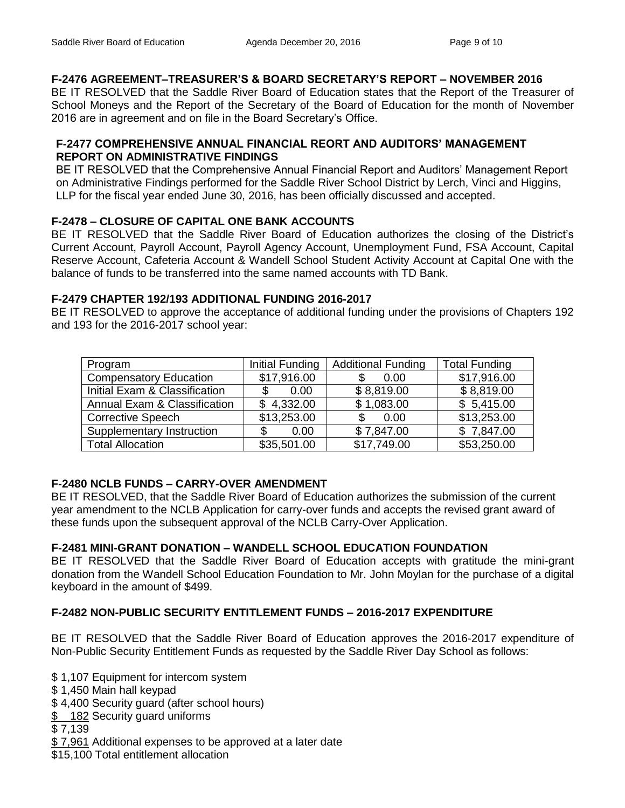# **F-2476 AGREEMENT–TREASURER'S & BOARD SECRETARY'S REPORT – NOVEMBER 2016**

BE IT RESOLVED that the Saddle River Board of Education states that the Report of the Treasurer of School Moneys and the Report of the Secretary of the Board of Education for the month of November 2016 are in agreement and on file in the Board Secretary's Office.

## **F-2477 COMPREHENSIVE ANNUAL FINANCIAL REORT AND AUDITORS' MANAGEMENT REPORT ON ADMINISTRATIVE FINDINGS**

BE IT RESOLVED that the Comprehensive Annual Financial Report and Auditors' Management Report on Administrative Findings performed for the Saddle River School District by Lerch, Vinci and Higgins, LLP for the fiscal year ended June 30, 2016, has been officially discussed and accepted.

## **F-2478 – CLOSURE OF CAPITAL ONE BANK ACCOUNTS**

BE IT RESOLVED that the Saddle River Board of Education authorizes the closing of the District's Current Account, Payroll Account, Payroll Agency Account, Unemployment Fund, FSA Account, Capital Reserve Account, Cafeteria Account & Wandell School Student Activity Account at Capital One with the balance of funds to be transferred into the same named accounts with TD Bank.

## **F-2479 CHAPTER 192/193 ADDITIONAL FUNDING 2016-2017**

BE IT RESOLVED to approve the acceptance of additional funding under the provisions of Chapters 192 and 193 for the 2016-2017 school year:

| Program                       | Initial Funding | <b>Additional Funding</b> | <b>Total Funding</b> |
|-------------------------------|-----------------|---------------------------|----------------------|
| <b>Compensatory Education</b> | \$17,916.00     | 0.00<br>S                 | \$17,916.00          |
| Initial Exam & Classification | \$.<br>0.00     | \$8,819.00                | \$8,819.00           |
| Annual Exam & Classification  | \$4,332.00      | \$1,083.00                | \$5,415.00           |
| <b>Corrective Speech</b>      | \$13,253.00     | 0.00<br>\$                | \$13,253.00          |
| Supplementary Instruction     | 0.00            | \$7,847.00                | \$7,847.00           |
| <b>Total Allocation</b>       | \$35,501.00     | \$17,749.00               | \$53,250.00          |

# **F-2480 NCLB FUNDS – CARRY-OVER AMENDMENT**

BE IT RESOLVED, that the Saddle River Board of Education authorizes the submission of the current year amendment to the NCLB Application for carry-over funds and accepts the revised grant award of these funds upon the subsequent approval of the NCLB Carry-Over Application.

# **F-2481 MINI-GRANT DONATION – WANDELL SCHOOL EDUCATION FOUNDATION**

BE IT RESOLVED that the Saddle River Board of Education accepts with gratitude the mini-grant donation from the Wandell School Education Foundation to Mr. John Moylan for the purchase of a digital keyboard in the amount of \$499.

# **F-2482 NON-PUBLIC SECURITY ENTITLEMENT FUNDS – 2016-2017 EXPENDITURE**

BE IT RESOLVED that the Saddle River Board of Education approves the 2016-2017 expenditure of Non-Public Security Entitlement Funds as requested by the Saddle River Day School as follows:

\$ 1,107 Equipment for intercom system

\$ 1,450 Main hall keypad

\$ 4,400 Security guard (after school hours)

\$ 182 Security guard uniforms

\$ 7,139

- \$ 7,961 Additional expenses to be approved at a later date
- \$15,100 Total entitlement allocation